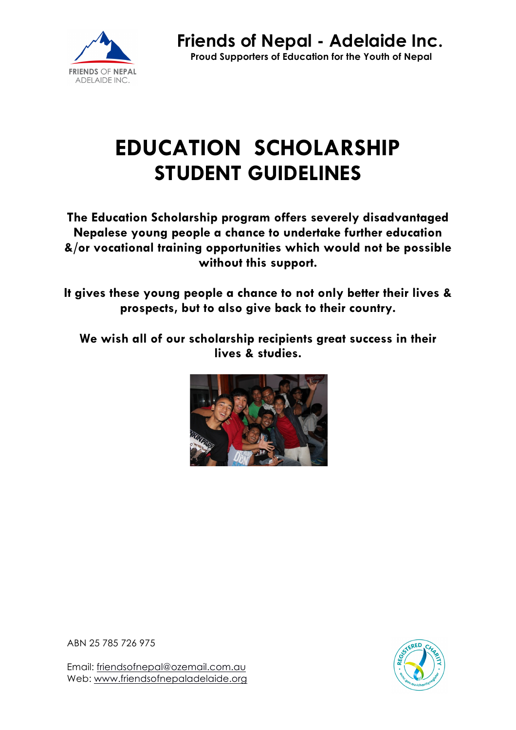

# **EDUCATION SCHOLARSHIP STUDENT GUIDELINES**

**The Education Scholarship program offers severely disadvantaged Nepalese young people a chance to undertake further education &/or vocational training opportunities which would not be possible without this support.**

**It gives these young people a chance to not only better their lives & prospects, but to also give back to their country.**

**We wish all of our scholarship recipients great success in their lives & studies.**



ABN 25 785 726 975

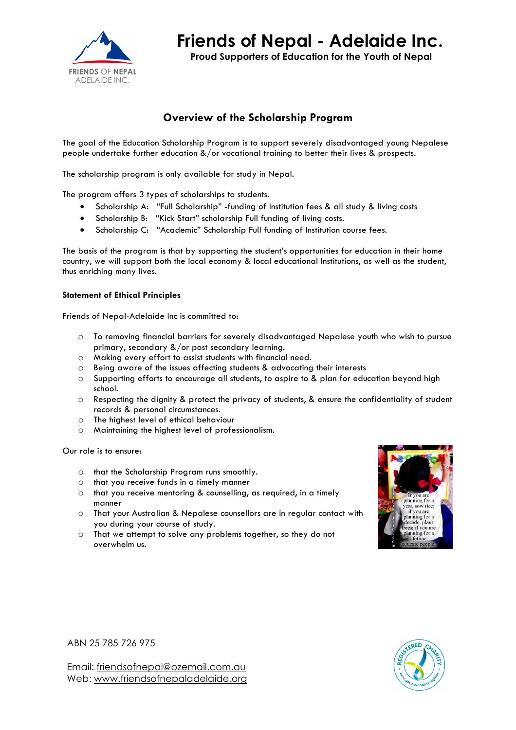

**Friends of Nepal - Adelaide Inc.**

**Proud Supporters of Education for the Youth of Nepal**

# **Overview of the Scholarship Program**

The goal of the Education Scholarship Program is to support severely disadvantaged young Nepalese people undertake further education &/or vocational training to better their lives & prospects.

The scholarship program is only available for study in Nepal.

The program offers 3 types of scholarships to students.

- Scholarship A: "Full Scholarship" -funding of Institution fees & all study & living costs
- Scholarship B: "Kick Start" scholarship Full funding of living costs.
- Scholarship C: "Academic" Scholarship Full funding of Institution course fees.

The basis of the program is that by supporting the student's opportunities for education in their home country, we will support both the local economy & local educational Institutions, as well as the student, thus enriching many lives.

#### **Statement of Ethical Principles**

Friends of Nepal-Adelaide Inc is committed to:

- o To removing financial barriers for severely disadvantaged Nepalese youth who wish to pursue primary, secondary &/or post secondary learning.
- o Making every effort to assist students with financial need.
- o Being aware of the issues affecting students & advocating their interests
- o Supporting efforts to encourage all students, to aspire to & plan for education beyond high school.
- o Respecting the dignity & protect the privacy of students, & ensure the confidentiality of student records & personal circumstances.
- o The highest level of ethical behaviour
- o Maintaining the highest level of professionalism.

Our role is to ensure:

- o that the Scholarship Program runs smoothly.
- o that you receive funds in a timely manner
- o that you receive mentoring & counselling, as required, in a timely manner
- o That your Australian & Nepalese counsellors are in regular contact with you during your course of study.
- o That we attempt to solve any problems together, so they do not overwhelm us.



ABN 25 785 726 975

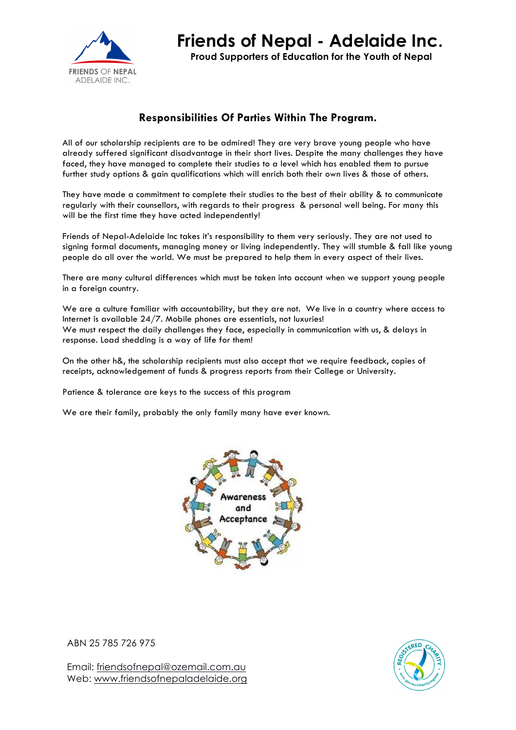

# **Responsibilities Of Parties Within The Program.**

All of our scholarship recipients are to be admired! They are very brave young people who have already suffered significant disadvantage in their short lives. Despite the many challenges they have faced, they have managed to complete their studies to a level which has enabled them to pursue further study options & gain qualifications which will enrich both their own lives & those of others.

They have made a commitment to complete their studies to the best of their ability & to communicate regularly with their counsellors, with regards to their progress & personal well being. For many this will be the first time they have acted independently!

Friends of Nepal-Adelaide Inc takes it's responsibility to them very seriously. They are not used to signing formal documents, managing money or living independently. They will stumble & fall like young people do all over the world. We must be prepared to help them in every aspect of their lives.

There are many cultural differences which must be taken into account when we support young people in a foreign country.

We are a culture familiar with accountability, but they are not. We live in a country where access to Internet is available 24/7. Mobile phones are essentials, not luxuries! We must respect the daily challenges they face, especially in communication with us, & delays in response. Load shedding is a way of life for them!

On the other h&, the scholarship recipients must also accept that we require feedback, copies of receipts, acknowledgement of funds & progress reports from their College or University.

Patience & tolerance are keys to the success of this program

We are their family, probably the only family many have ever known.



ABN 25 785 726 975

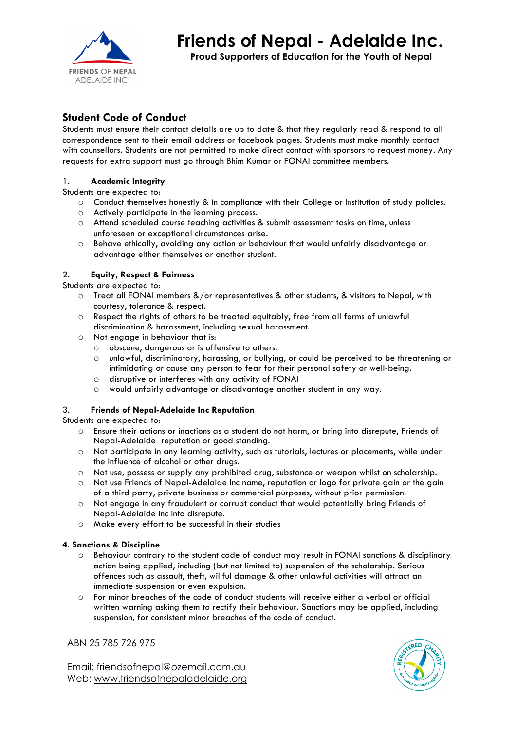

# **Friends of Nepal - Adelaide Inc.**

**Proud Supporters of Education for the Youth of Nepal**

## **Student Code of Conduct**

Students must ensure their contact details are up to date & that they regularly read & respond to all correspondence sent to their email address or facebook pages. Students must make monthly contact with counsellors. Students are not permitted to make direct contact with sponsors to request money. Any requests for extra support must go through Bhim Kumar or FONAI committee members.

#### 1. **Academic Integrity**

Students are expected to:

- o Conduct themselves honestly & in compliance with their College or Institution of study policies.
- o Actively participate in the learning process.
- o Attend scheduled course teaching activities & submit assessment tasks on time, unless unforeseen or exceptional circumstances arise.
- o Behave ethically, avoiding any action or behaviour that would unfairly disadvantage or advantage either themselves or another student.

#### 2. **Equity, Respect & Fairness**

Students are expected to:

- o Treat all FONAI members &/or representatives & other students, & visitors to Nepal, with courtesy, tolerance & respect.
- o Respect the rights of others to be treated equitably, free from all forms of unlawful discrimination & harassment, including sexual harassment.
- o Not engage in behaviour that is:
	- o obscene, dangerous or is offensive to others.
	- o unlawful, discriminatory, harassing, or bullying, or could be perceived to be threatening or intimidating or cause any person to fear for their personal safety or well-being.
	- o disruptive or interferes with any activity of FONAI
	- o would unfairly advantage or disadvantage another student in any way.

#### 3. **Friends of Nepal-Adelaide Inc Reputation**

Students are expected to:

- o Ensure their actions or inactions as a student do not harm, or bring into disrepute, Friends of Nepal-Adelaide reputation or good standing.
- o Not participate in any learning activity, such as tutorials, lectures or placements, while under the influence of alcohol or other drugs.
- o Not use, possess or supply any prohibited drug, substance or weapon whilst on scholarship.
- o Not use Friends of Nepal-Adelaide Inc name, reputation or logo for private gain or the gain of a third party, private business or commercial purposes, without prior permission.
- o Not engage in any fraudulent or corrupt conduct that would potentially bring Friends of Nepal-Adelaide Inc into disrepute.
- o Make every effort to be successful in their studies

#### **4. Sanctions & Discipline**

- o Behaviour contrary to the student code of conduct may result in FONAI sanctions & disciplinary action being applied, including (but not limited to) suspension of the scholarship. Serious offences such as assault, theft, willful damage & other unlawful activities will attract an immediate suspension or even expulsion.
- o For minor breaches of the code of conduct students will receive either a verbal or official written warning asking them to rectify their behaviour. Sanctions may be applied, including suspension, for consistent minor breaches of the code of conduct.

ABN 25 785 726 975

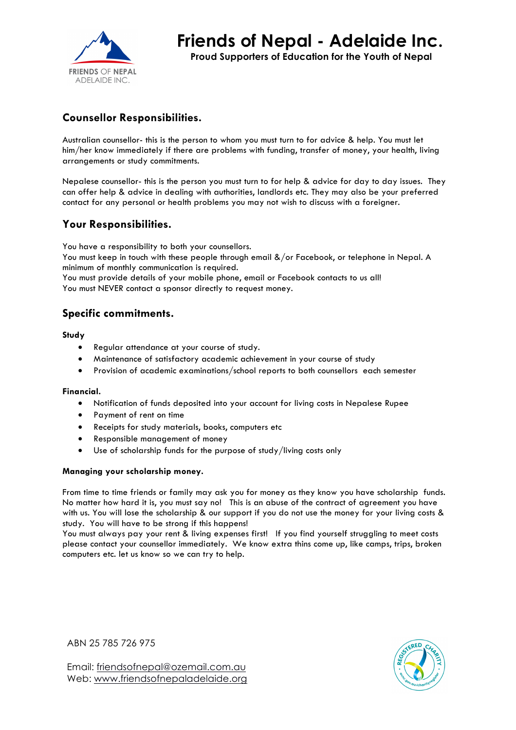

**Proud Supporters of Education for the Youth of Nepal**

# **Counsellor Responsibilities.**

Australian counsellor- this is the person to whom you must turn to for advice & help. You must let him/her know immediately if there are problems with funding, transfer of money, your health, living arrangements or study commitments.

Nepalese counsellor- this is the person you must turn to for help & advice for day to day issues. They can offer help & advice in dealing with authorities, landlords etc. They may also be your preferred contact for any personal or health problems you may not wish to discuss with a foreigner.

### **Your Responsibilities.**

You have a responsibility to both your counsellors. You must keep in touch with these people through email &/or Facebook, or telephone in Nepal. A minimum of monthly communication is required. You must provide details of your mobile phone, email or Facebook contacts to us all!

You must NEVER contact a sponsor directly to request money.

### **Specific commitments.**

**Study** 

- Regular attendance at your course of study.
- Maintenance of satisfactory academic achievement in your course of study
- Provision of academic examinations/school reports to both counsellors each semester

#### **Financial.**

- Notification of funds deposited into your account for living costs in Nepalese Rupee
- Payment of rent on time
- Receipts for study materials, books, computers etc
- Responsible management of money
- Use of scholarship funds for the purpose of study/living costs only

#### **Managing your scholarship money.**

From time to time friends or family may ask you for money as they know you have scholarship funds. No matter how hard it is, you must say no! This is an abuse of the contract of agreement you have with us. You will lose the scholarship & our support if you do not use the money for your living costs & study. You will have to be strong if this happens!

You must always pay your rent & living expenses first! If you find yourself struggling to meet costs please contact your counsellor immediately. We know extra thins come up, like camps, trips, broken computers etc. let us know so we can try to help.

ABN 25 785 726 975